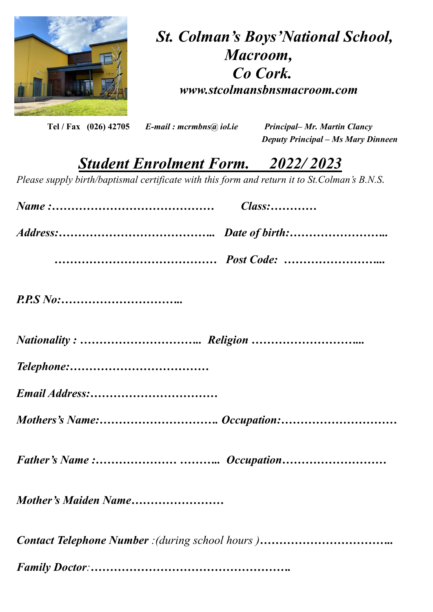

## *St. Colman's Boys'National School, Macroom, Co Cork. www.stcolmansbnsmacroom.com*

**Tel / Fax (026) 42705** *E-mail : mcrmbns@ iol.ie Principal– Mr. Martin Clancy*

*Deputy Principal – Ms Mary Dinneen*

## *Student Enrolment Form. 2022/ 2023*

*Please supply birth/baptismal certificate with this form and return it to St.Colman's B.N.S.* 

| $Class$ :                                                                 |
|---------------------------------------------------------------------------|
|                                                                           |
|                                                                           |
| $P\!P\!S\!No:\dots \dots \dots \dots \dots \dots \dots \dots \dots \dots$ |
|                                                                           |
|                                                                           |
|                                                                           |
|                                                                           |
|                                                                           |
| Mother's Maiden Name                                                      |
|                                                                           |
|                                                                           |